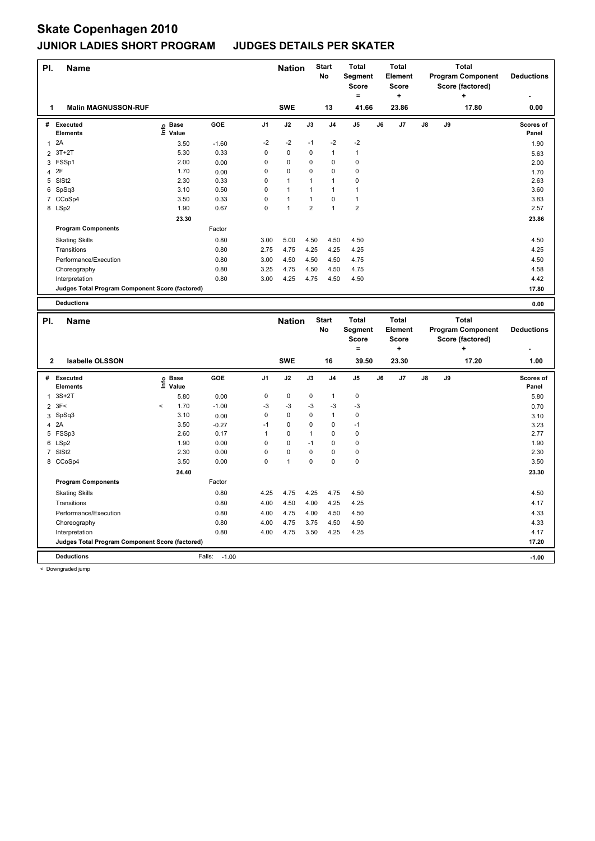| PI.            | <b>Name</b>                                     |                              |         |                | <b>Nation</b> |                | <b>Start</b><br><b>No</b> | <b>Total</b><br>Segment<br><b>Score</b><br>Ξ. |    | <b>Total</b><br><b>Element</b><br><b>Score</b><br>÷ |            |    | <b>Total</b><br><b>Program Component</b><br>Score (factored)<br>÷ | <b>Deductions</b>  |
|----------------|-------------------------------------------------|------------------------------|---------|----------------|---------------|----------------|---------------------------|-----------------------------------------------|----|-----------------------------------------------------|------------|----|-------------------------------------------------------------------|--------------------|
| 1              | <b>Malin MAGNUSSON-RUF</b>                      |                              |         |                | <b>SWE</b>    |                | 13                        | 41.66                                         |    | 23.86                                               |            |    | 17.80                                                             | 0.00               |
|                | # Executed<br><b>Elements</b>                   | e Base<br>⊑ Value            | GOE     | J1             | J2            | J3             | J <sub>4</sub>            | J <sub>5</sub>                                | J6 | J7                                                  | ${\sf J8}$ | J9 |                                                                   | Scores of<br>Panel |
| 1              | 2A                                              | 3.50                         | $-1.60$ | -2             | $-2$          | $-1$           | $-2$                      | $-2$                                          |    |                                                     |            |    |                                                                   | 1.90               |
|                | 2 3T+2T                                         | 5.30                         | 0.33    | 0              | 0             | 0              | 1                         | $\mathbf{1}$                                  |    |                                                     |            |    |                                                                   | 5.63               |
|                | 3 FSSp1                                         | 2.00                         | 0.00    | 0              | 0             | 0              | 0                         | 0                                             |    |                                                     |            |    |                                                                   | 2.00               |
| $\overline{4}$ | 2F                                              | 1.70                         | 0.00    | 0              | 0             | 0              | 0                         | 0                                             |    |                                                     |            |    |                                                                   | 1.70               |
|                | 5 SISt2                                         | 2.30                         | 0.33    | 0              | $\mathbf{1}$  | 1              | 1                         | 0                                             |    |                                                     |            |    |                                                                   | 2.63               |
|                | 6 SpSq3                                         | 3.10                         | 0.50    | 0              | $\mathbf{1}$  | 1              | 1                         | $\mathbf{1}$                                  |    |                                                     |            |    |                                                                   | 3.60               |
|                | 7 CCoSp4                                        | 3.50                         | 0.33    | 0              | $\mathbf{1}$  | $\mathbf{1}$   | 0                         | $\mathbf{1}$                                  |    |                                                     |            |    |                                                                   | 3.83               |
|                | 8 LSp2                                          | 1.90                         | 0.67    | $\Omega$       | $\mathbf{1}$  | $\overline{2}$ | $\mathbf{1}$              | $\overline{\mathbf{c}}$                       |    |                                                     |            |    |                                                                   | 2.57               |
|                |                                                 | 23.30                        |         |                |               |                |                           |                                               |    |                                                     |            |    |                                                                   | 23.86              |
|                | <b>Program Components</b>                       |                              | Factor  |                |               |                |                           |                                               |    |                                                     |            |    |                                                                   |                    |
|                | <b>Skating Skills</b>                           |                              | 0.80    | 3.00           | 5.00          | 4.50           | 4.50                      | 4.50                                          |    |                                                     |            |    |                                                                   | 4.50               |
|                | Transitions                                     |                              | 0.80    | 2.75           | 4.75          | 4.25           | 4.25                      | 4.25                                          |    |                                                     |            |    |                                                                   | 4.25               |
|                | Performance/Execution                           |                              | 0.80    | 3.00           | 4.50          | 4.50           | 4.50                      | 4.75                                          |    |                                                     |            |    |                                                                   | 4.50               |
|                | Choreography                                    |                              | 0.80    | 3.25           | 4.75          | 4.50           | 4.50                      | 4.75                                          |    |                                                     |            |    |                                                                   | 4.58               |
|                | Interpretation                                  |                              | 0.80    | 3.00           | 4.25          | 4.75           | 4.50                      | 4.50                                          |    |                                                     |            |    |                                                                   | 4.42               |
|                | Judges Total Program Component Score (factored) |                              |         |                |               |                |                           |                                               |    |                                                     |            |    |                                                                   | 17.80              |
|                |                                                 |                              |         |                |               |                |                           |                                               |    |                                                     |            |    |                                                                   |                    |
|                | <b>Deductions</b>                               |                              |         |                |               |                |                           |                                               |    |                                                     |            |    |                                                                   | 0.00               |
| PI.            | <b>Name</b>                                     |                              |         |                | <b>Nation</b> |                | <b>Start</b><br>No        | <b>Total</b><br>Segment<br><b>Score</b>       |    | <b>Total</b><br>Element<br><b>Score</b>             |            |    | <b>Total</b><br><b>Program Component</b><br>Score (factored)      | <b>Deductions</b>  |
|                |                                                 |                              |         |                |               |                |                           | $\equiv$                                      |    | ÷                                                   |            |    | ÷                                                                 |                    |
| $\mathbf{2}$   | <b>Isabelle OLSSON</b>                          |                              |         |                | <b>SWE</b>    |                | 16                        | 39.50                                         |    | 23.30                                               |            |    | 17.20                                                             | 1.00               |
|                | # Executed<br><b>Elements</b>                   | <b>Base</b><br>١nf٥<br>Value | GOE     | J <sub>1</sub> | J2            | J3             | J <sub>4</sub>            | J <sub>5</sub>                                | J6 | J7                                                  | J8         | J9 |                                                                   | Scores of<br>Panel |
|                | $1.3S+2T$                                       | 5.80                         | 0.00    | 0              | 0             | 0              | 1                         | 0                                             |    |                                                     |            |    |                                                                   | 5.80               |

 3F< < 1.70 -1.00 -3 -3 -3 -3 -3 0.70 SpSq3 3.10 0.00 0 0 0 1 0 3.10 4 2A 3.23 -0.27 -1 0 0 0 -1 3.23 FSSp3 2.60 0.17 1 0 1 0 0 2.77 LSp2 1.90 0.00 0 0 -1 0 0 1.90 SlSt2 2.30 0.00 0 0 0 0 0 2.30 CCoSp4 3.50 0.00 0 1 0 0 0 3.50

Skating Skills 4.25 4.75 4.25 4.75 4.50 0.80 4.50

Transitions 0.80 4.00 4.50 4.00 4.25 4.25 4.17 Performance/Execution 10.80 1.080 4.00 4.75 4.00 4.50 4.50 4.50 4.50 4.33 4.33<br>Choreography 1.33 6.80 4.75 3.75 4.50 4.50 4.50 4.33 4.33

Interpretation 0.80 4.00 4.75 3.50 4.25 4.25 4.17

**Judges Total Program Component Score (factored) 17.20**

Factor

Choreography 0.80 4.00 4.75 3.75 4.50 4.50 4.33

 **24.40 23.30**

**Deductions** Falls: -1.00 **-1.00**

**Program Components**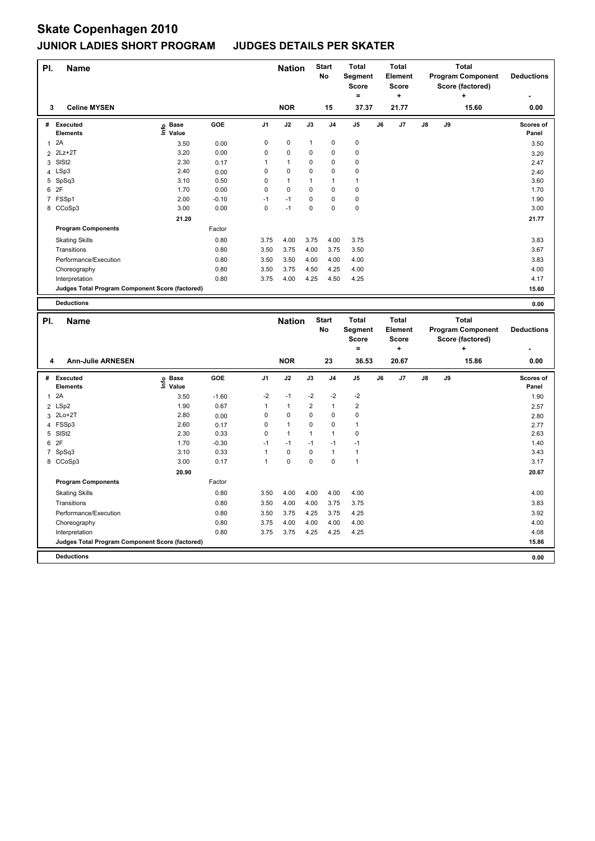**Program Components** 

| PI. | <b>Name</b>                                     |                   |         |                | <b>Nation</b> |                | <b>Start</b><br>No | Total<br>Segment        |    | <b>Total</b><br>Element |    |    | <b>Total</b><br><b>Program Component</b> | <b>Deductions</b>  |
|-----|-------------------------------------------------|-------------------|---------|----------------|---------------|----------------|--------------------|-------------------------|----|-------------------------|----|----|------------------------------------------|--------------------|
|     |                                                 |                   |         |                |               |                |                    | <b>Score</b>            |    | <b>Score</b>            |    |    | Score (factored)                         |                    |
|     |                                                 |                   |         |                |               |                |                    | $\equiv$                |    | ÷                       |    |    | ÷                                        |                    |
| 3   | <b>Celine MYSEN</b>                             |                   |         |                | <b>NOR</b>    |                | 15                 | 37.37                   |    | 21.77                   |    |    | 15.60                                    | 0.00               |
|     | # Executed<br><b>Elements</b>                   | e Base<br>⊆ Value | GOE     | J <sub>1</sub> | J2            | J3             | J <sub>4</sub>     | J5                      | J6 | J7                      | J8 | J9 |                                          | Scores of<br>Panel |
|     | 1 <sup>2</sup> A                                | 3.50              | 0.00    | 0              | 0             | $\mathbf{1}$   | 0                  | 0                       |    |                         |    |    |                                          | 3.50               |
|     | 2 2Lz+2T                                        | 3.20              | 0.00    | 0              | 0             | 0              | 0                  | 0                       |    |                         |    |    |                                          | 3.20               |
|     | 3 SISt2                                         | 2.30              | 0.17    | 1              | $\mathbf{1}$  | $\mathbf 0$    | 0                  | 0                       |    |                         |    |    |                                          | 2.47               |
|     | 4 LSp3                                          | 2.40              | 0.00    | $\mathbf 0$    | 0             | $\mathbf 0$    | 0                  | 0                       |    |                         |    |    |                                          | 2.40               |
|     | 5 SpSq3                                         | 3.10              | 0.50    | 0              | $\mathbf{1}$  | 1              | 1                  | $\mathbf{1}$            |    |                         |    |    |                                          | 3.60               |
|     | 6 2F                                            | 1.70              | 0.00    | $\mathbf 0$    | 0             | 0              | 0                  | 0                       |    |                         |    |    |                                          | 1.70               |
|     | 7 FSSp1                                         | 2.00              | $-0.10$ | $-1$           | $-1$          | $\mathbf 0$    | 0                  | 0                       |    |                         |    |    |                                          | 1.90               |
|     | 8 CCoSp3                                        | 3.00              | 0.00    | $\Omega$       | $-1$          | $\Omega$       | 0                  | 0                       |    |                         |    |    |                                          | 3.00               |
|     |                                                 | 21.20             |         |                |               |                |                    |                         |    |                         |    |    |                                          | 21.77              |
|     | <b>Program Components</b>                       |                   | Factor  |                |               |                |                    |                         |    |                         |    |    |                                          |                    |
|     | <b>Skating Skills</b>                           |                   | 0.80    | 3.75           | 4.00          | 3.75           | 4.00               | 3.75                    |    |                         |    |    |                                          | 3.83               |
|     | Transitions                                     |                   | 0.80    | 3.50           | 3.75          | 4.00           | 3.75               | 3.50                    |    |                         |    |    |                                          | 3.67               |
|     | Performance/Execution                           |                   | 0.80    | 3.50           | 3.50          | 4.00           | 4.00               | 4.00                    |    |                         |    |    |                                          | 3.83               |
|     | Choreography                                    |                   | 0.80    | 3.50           | 3.75          | 4.50           | 4.25               | 4.00                    |    |                         |    |    |                                          | 4.00               |
|     | Interpretation                                  |                   | 0.80    | 3.75           | 4.00          | 4.25           | 4.50               | 4.25                    |    |                         |    |    |                                          | 4.17               |
|     | Judges Total Program Component Score (factored) |                   |         |                |               |                |                    |                         |    |                         |    |    |                                          | 15.60              |
|     | <b>Deductions</b>                               |                   |         |                |               |                |                    |                         |    |                         |    |    |                                          |                    |
|     |                                                 |                   |         |                |               |                |                    |                         |    |                         |    |    |                                          | 0.00               |
| PI. | <b>Name</b>                                     |                   |         |                | <b>Nation</b> |                | <b>Start</b>       | <b>Total</b>            |    | <b>Total</b>            |    |    | Total                                    |                    |
|     |                                                 |                   |         |                |               |                | No                 | <b>Segment</b>          |    | Element                 |    |    | <b>Program Component</b>                 | <b>Deductions</b>  |
|     |                                                 |                   |         |                |               |                |                    | <b>Score</b>            |    | <b>Score</b>            |    |    | Score (factored)                         |                    |
|     |                                                 |                   |         |                |               |                |                    | $\equiv$                |    | ÷                       |    |    | ÷                                        |                    |
| 4   | <b>Ann-Julie ARNESEN</b>                        |                   |         |                | <b>NOR</b>    |                | 23                 | 36.53                   |    | 20.67                   |    |    | 15.86                                    | 0.00               |
|     | # Executed                                      | e Base<br>⊑ Value | GOE     | J <sub>1</sub> | J2            | J3             | J4                 | J5                      | J6 | J7                      | J8 | J9 |                                          | Scores of          |
|     | <b>Elements</b>                                 |                   |         |                |               |                |                    |                         |    |                         |    |    |                                          | Panel              |
| 1   | 2A                                              | 3.50              | $-1.60$ | -2             | $-1$          | $-2$           | $-2$               | $-2$                    |    |                         |    |    |                                          | 1.90               |
|     | 2 LSp2                                          | 1.90              | 0.67    | 1              | $\mathbf{1}$  | $\overline{2}$ | $\mathbf{1}$       | $\overline{\mathbf{c}}$ |    |                         |    |    |                                          | 2.57               |
|     | 3 2Lo+2T                                        | 2.80              | 0.00    | 0              | 0             | $\mathbf 0$    | 0                  | 0                       |    |                         |    |    |                                          | 2.80               |
|     | 4 FSSp3                                         | 2.60              | 0.17    | 0              | $\mathbf{1}$  | 0              | 0                  | $\mathbf{1}$            |    |                         |    |    |                                          | 2.77               |
|     | 5 SISt2                                         | 2.30              | 0.33    | 0              | $\mathbf{1}$  | $\mathbf{1}$   | 1                  | 0                       |    |                         |    |    |                                          | 2.63               |
| 6   | 2F                                              | 1.70              | $-0.30$ | $-1$           | $-1$          | $-1$           | $-1$               | $-1$                    |    |                         |    |    |                                          | 1.40               |
|     | 7 SpSq3                                         | 3.10              | 0.33    | 1              | 0             | $\mathbf 0$    | $\mathbf{1}$       | $\mathbf{1}$            |    |                         |    |    |                                          | 3.43               |
|     | 8 CCoSp3                                        | 3.00              | 0.17    | $\mathbf{1}$   | $\Omega$      | 0              | 0                  | $\mathbf{1}$            |    |                         |    |    |                                          | 3.17               |

Skating Skills 3.50 4.00 4.00 4.00 4.00 0.80 4.00

Transitions 0.80 3.50 4.00 4.00 3.75 3.75 3.83 Performance/Execution 0.80 3.50 3.75 4.25 3.75 4.25 3.92

Interpretation 0.80 3.75 3.75 4.25 4.25 4.25 4.08

**Deductions 0.00 Judges Total Program Component Score (factored) 15.86**

Factor

Choreography 0.80 3.75 4.00 4.00 4.00 4.00 4.00

 **20.90 20.67**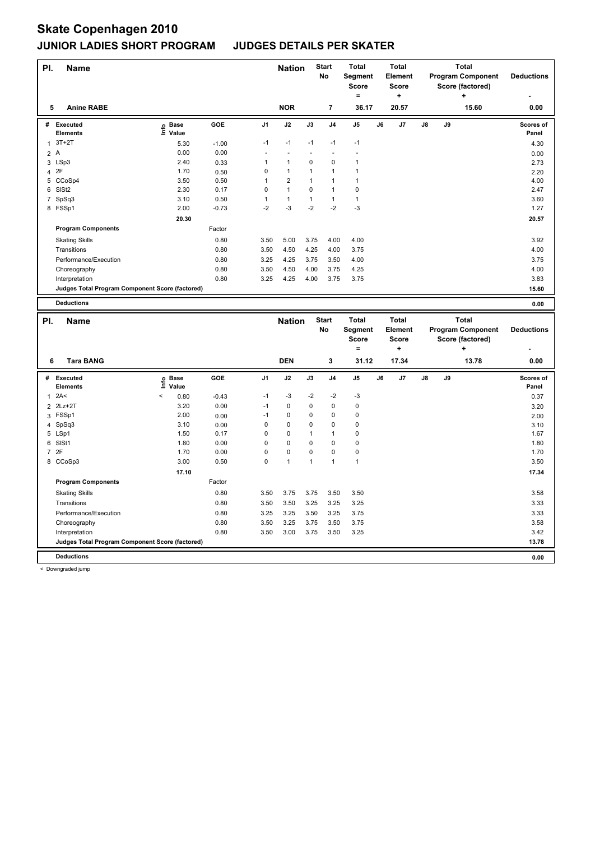| PI.          | <b>Name</b>                                     |                                  |         |                | <b>Nation</b> |      | <b>Start</b><br>No | <b>Total</b><br>Segment<br><b>Score</b><br>۰ |    | <b>Total</b><br>Element<br><b>Score</b><br>÷ |    |    | <b>Total</b><br><b>Program Component</b><br>Score (factored)<br>÷ | <b>Deductions</b>  |
|--------------|-------------------------------------------------|----------------------------------|---------|----------------|---------------|------|--------------------|----------------------------------------------|----|----------------------------------------------|----|----|-------------------------------------------------------------------|--------------------|
| 5            | <b>Anine RABE</b>                               |                                  |         |                | <b>NOR</b>    |      | 7                  | 36.17                                        |    | 20.57                                        |    |    | 15.60                                                             | 0.00               |
| #            | Executed<br><b>Elements</b>                     | <b>Base</b><br>e Base<br>⊆ Value | GOE     | J <sub>1</sub> | J2            | J3   | J <sub>4</sub>     | J <sub>5</sub>                               | J6 | J <sub>7</sub>                               | J8 | J9 |                                                                   | Scores of<br>Panel |
| $\mathbf{1}$ | $3T+2T$                                         | 5.30                             | $-1.00$ | $-1$           | $-1$          | $-1$ | $-1$               | $-1$                                         |    |                                              |    |    |                                                                   | 4.30               |
|              | 2A                                              | 0.00                             | 0.00    |                |               |      |                    |                                              |    |                                              |    |    |                                                                   | 0.00               |
| 3            | LSp3                                            | 2.40                             | 0.33    | 1              | $\mathbf{1}$  | 0    | 0                  | $\mathbf{1}$                                 |    |                                              |    |    |                                                                   | 2.73               |
| 4            | 2F                                              | 1.70                             | 0.50    | 0              | $\mathbf{1}$  | 1    | 1                  | $\overline{1}$                               |    |                                              |    |    |                                                                   | 2.20               |
|              | 5 CCoSp4                                        | 3.50                             | 0.50    | 1              | 2             | 1    | 1                  | 1                                            |    |                                              |    |    |                                                                   | 4.00               |
| 6            | SISt <sub>2</sub>                               | 2.30                             | 0.17    | 0              | $\mathbf{1}$  | 0    | 1                  | 0                                            |    |                                              |    |    |                                                                   | 2.47               |
| 7            | SpSq3                                           | 3.10                             | 0.50    | 1              | $\mathbf{1}$  | 1    | 1                  | $\mathbf{1}$                                 |    |                                              |    |    |                                                                   | 3.60               |
|              | 8 FSSp1                                         | 2.00                             | $-0.73$ | $-2$           | $-3$          | $-2$ | $-2$               | $-3$                                         |    |                                              |    |    |                                                                   | 1.27               |
|              |                                                 | 20.30                            |         |                |               |      |                    |                                              |    |                                              |    |    |                                                                   | 20.57              |
|              | <b>Program Components</b>                       |                                  | Factor  |                |               |      |                    |                                              |    |                                              |    |    |                                                                   |                    |
|              | <b>Skating Skills</b>                           |                                  | 0.80    | 3.50           | 5.00          | 3.75 | 4.00               | 4.00                                         |    |                                              |    |    |                                                                   | 3.92               |
|              | Transitions                                     |                                  | 0.80    | 3.50           | 4.50          | 4.25 | 4.00               | 3.75                                         |    |                                              |    |    |                                                                   | 4.00               |
|              | Performance/Execution                           |                                  | 0.80    | 3.25           | 4.25          | 3.75 | 3.50               | 4.00                                         |    |                                              |    |    |                                                                   | 3.75               |
|              | Choreography                                    |                                  | 0.80    | 3.50           | 4.50          | 4.00 | 3.75               | 4.25                                         |    |                                              |    |    |                                                                   | 4.00               |
|              | Interpretation                                  |                                  | 0.80    | 3.25           | 4.25          | 4.00 | 3.75               | 3.75                                         |    |                                              |    |    |                                                                   | 3.83               |
|              | Judges Total Program Component Score (factored) |                                  |         |                |               |      |                    |                                              |    |                                              |    |    |                                                                   | 15.60              |
|              | <b>Deductions</b>                               |                                  |         |                |               |      |                    |                                              |    |                                              |    |    |                                                                   | 0.00               |
| PI.          | <b>Name</b>                                     |                                  |         |                | <b>Nation</b> |      | <b>Start</b><br>No | <b>Total</b><br>Segment<br>Score             |    | <b>Total</b><br>Element<br><b>Score</b>      |    |    | <b>Total</b><br><b>Program Component</b><br>Score (factored)      | <b>Deductions</b>  |

|                |                                                 |         |                                  |         |                |             |              |                | Score<br>=     |    | Score<br>٠ |    |    | Score (factored)<br>٠ |                           |
|----------------|-------------------------------------------------|---------|----------------------------------|---------|----------------|-------------|--------------|----------------|----------------|----|------------|----|----|-----------------------|---------------------------|
| 6              | <b>Tara BANG</b>                                |         |                                  |         |                | <b>DEN</b>  |              | 3              | 31.12          |    | 17.34      |    |    | 13.78                 | 0.00                      |
| #              | <b>Executed</b><br><b>Elements</b>              |         | <b>Base</b><br>e Base<br>⊑ Value | GOE     | J <sub>1</sub> | J2          | J3           | J <sub>4</sub> | J <sub>5</sub> | J6 | J7         | J8 | J9 |                       | <b>Scores of</b><br>Panel |
| 1              | 2A<                                             | $\,<\,$ | 0.80                             | $-0.43$ | $-1$           | $-3$        | $-2$         | $-2$           | $-3$           |    |            |    |    |                       | 0.37                      |
| $\overline{2}$ | $2Lz+2T$                                        |         | 3.20                             | 0.00    | $-1$           | $\mathbf 0$ | $\mathbf 0$  | 0              | 0              |    |            |    |    |                       | 3.20                      |
| 3              | FSSp1                                           |         | 2.00                             | 0.00    | $-1$           | $\mathbf 0$ | 0            | 0              | 0              |    |            |    |    |                       | 2.00                      |
| 4              | SpSq3                                           |         | 3.10                             | 0.00    | 0              | $\mathbf 0$ | 0            | 0              | 0              |    |            |    |    |                       | 3.10                      |
|                | 5 LSp1                                          |         | 1.50                             | 0.17    | 0              | $\mathbf 0$ | 1            |                | 0              |    |            |    |    |                       | 1.67                      |
| 6              | SISt1                                           |         | 1.80                             | 0.00    | 0              | $\mathbf 0$ | $\Omega$     | $\Omega$       | 0              |    |            |    |    |                       | 1.80                      |
| 7              | 2F                                              |         | 1.70                             | 0.00    | 0              | $\mathbf 0$ | 0            | 0              | 0              |    |            |    |    |                       | 1.70                      |
|                | 8 CCoSp3                                        |         | 3.00                             | 0.50    | 0              | 1           | $\mathbf{1}$ |                | $\mathbf{1}$   |    |            |    |    |                       | 3.50                      |
|                |                                                 |         | 17.10                            |         |                |             |              |                |                |    |            |    |    |                       | 17.34                     |
|                | <b>Program Components</b>                       |         |                                  | Factor  |                |             |              |                |                |    |            |    |    |                       |                           |
|                | <b>Skating Skills</b>                           |         |                                  | 0.80    | 3.50           | 3.75        | 3.75         | 3.50           | 3.50           |    |            |    |    |                       | 3.58                      |
|                | Transitions                                     |         |                                  | 0.80    | 3.50           | 3.50        | 3.25         | 3.25           | 3.25           |    |            |    |    |                       | 3.33                      |
|                | Performance/Execution                           |         |                                  | 0.80    | 3.25           | 3.25        | 3.50         | 3.25           | 3.75           |    |            |    |    |                       | 3.33                      |
|                | Choreography                                    |         |                                  | 0.80    | 3.50           | 3.25        | 3.75         | 3.50           | 3.75           |    |            |    |    |                       | 3.58                      |
|                | Interpretation                                  |         |                                  | 0.80    | 3.50           | 3.00        | 3.75         | 3.50           | 3.25           |    |            |    |    |                       | 3.42                      |
|                | Judges Total Program Component Score (factored) |         |                                  |         |                |             |              |                |                |    |            |    |    |                       | 13.78                     |
|                | <b>Deductions</b>                               |         |                                  |         |                |             |              |                |                |    |            |    |    |                       | 0.00                      |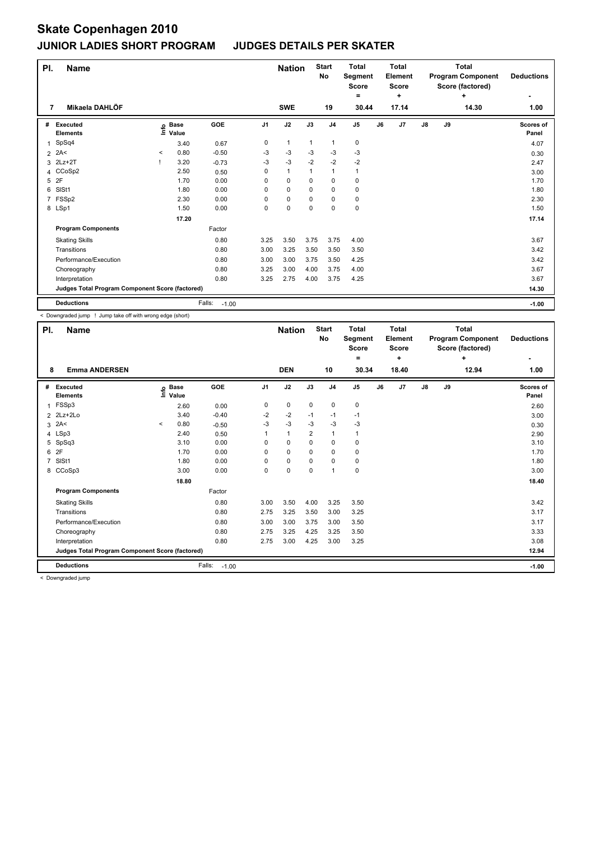| PI.            | <b>Name</b>                                     |         |                            |                   |                | <b>Nation</b> |              | <b>Start</b><br>No | <b>Total</b><br>Segment<br><b>Score</b> |    | <b>Total</b><br>Element<br><b>Score</b> |               |    | <b>Total</b><br><b>Program Component</b><br>Score (factored) | <b>Deductions</b>         |
|----------------|-------------------------------------------------|---------|----------------------------|-------------------|----------------|---------------|--------------|--------------------|-----------------------------------------|----|-----------------------------------------|---------------|----|--------------------------------------------------------------|---------------------------|
| 7              | Mikaela DAHLÖF                                  |         |                            |                   |                | <b>SWE</b>    |              | 19                 | $=$<br>30.44                            |    | ÷<br>17.14                              |               |    | ÷<br>14.30                                                   | 1.00                      |
|                |                                                 |         |                            |                   |                |               |              |                    |                                         |    |                                         |               |    |                                                              |                           |
| #              | <b>Executed</b><br><b>Elements</b>              |         | e Base<br>⊆ Value<br>Value | GOE               | J <sub>1</sub> | J2            | J3           | J <sub>4</sub>     | J <sub>5</sub>                          | J6 | J7                                      | $\mathsf{J}8$ | J9 |                                                              | <b>Scores of</b><br>Panel |
| 1              | SpSq4                                           |         | 3.40                       | 0.67              | 0              | $\mathbf{1}$  | $\mathbf{1}$ | $\mathbf{1}$       | $\pmb{0}$                               |    |                                         |               |    |                                                              | 4.07                      |
| 2              | 2A<                                             | $\,<\,$ | 0.80                       | $-0.50$           | -3             | $-3$          | $-3$         | $-3$               | $-3$                                    |    |                                         |               |    |                                                              | 0.30                      |
|                | 3 2Lz+2T                                        |         | 3.20                       | $-0.73$           | $-3$           | $-3$          | $-2$         | $-2$               | $-2$                                    |    |                                         |               |    |                                                              | 2.47                      |
|                | 4 CCoSp2                                        |         | 2.50                       | 0.50              | 0              | $\mathbf{1}$  | $\mathbf 1$  | $\mathbf{1}$       | $\mathbf{1}$                            |    |                                         |               |    |                                                              | 3.00                      |
| 5              | 2F                                              |         | 1.70                       | 0.00              | 0              | $\mathbf 0$   | 0            | 0                  | 0                                       |    |                                         |               |    |                                                              | 1.70                      |
| 6              | SISt1                                           |         | 1.80                       | 0.00              | 0              | $\mathbf 0$   | 0            | $\mathbf 0$        | 0                                       |    |                                         |               |    |                                                              | 1.80                      |
| $\overline{7}$ | FSSp2                                           |         | 2.30                       | 0.00              | 0              | $\pmb{0}$     | 0            | 0                  | 0                                       |    |                                         |               |    |                                                              | 2.30                      |
|                | 8 LSp1                                          |         | 1.50                       | 0.00              | 0              | $\mathbf 0$   | $\Omega$     | $\mathbf 0$        | $\pmb{0}$                               |    |                                         |               |    |                                                              | 1.50                      |
|                |                                                 |         | 17.20                      |                   |                |               |              |                    |                                         |    |                                         |               |    |                                                              | 17.14                     |
|                | <b>Program Components</b>                       |         |                            | Factor            |                |               |              |                    |                                         |    |                                         |               |    |                                                              |                           |
|                | <b>Skating Skills</b>                           |         |                            | 0.80              | 3.25           | 3.50          | 3.75         | 3.75               | 4.00                                    |    |                                         |               |    |                                                              | 3.67                      |
|                | Transitions                                     |         |                            | 0.80              | 3.00           | 3.25          | 3.50         | 3.50               | 3.50                                    |    |                                         |               |    |                                                              | 3.42                      |
|                | Performance/Execution                           |         |                            | 0.80              | 3.00           | 3.00          | 3.75         | 3.50               | 4.25                                    |    |                                         |               |    |                                                              | 3.42                      |
|                | Choreography                                    |         |                            | 0.80              | 3.25           | 3.00          | 4.00         | 3.75               | 4.00                                    |    |                                         |               |    |                                                              | 3.67                      |
|                | Interpretation                                  |         |                            | 0.80              | 3.25           | 2.75          | 4.00         | 3.75               | 4.25                                    |    |                                         |               |    |                                                              | 3.67                      |
|                | Judges Total Program Component Score (factored) |         |                            |                   |                |               |              |                    |                                         |    |                                         |               |    |                                                              | 14.30                     |
|                | <b>Deductions</b>                               |         |                            | Falls:<br>$-1.00$ |                |               |              |                    |                                         |    |                                         |               |    |                                                              | $-1.00$                   |

< Downgraded jump ! Jump take off with wrong edge (short)

| PI. | <b>Name</b>                                     |         |                      |                   |                | <b>Nation</b> |                | <b>Start</b><br>No | <b>Total</b><br>Segment<br><b>Score</b> |    | <b>Total</b><br>Element<br><b>Score</b> |    |    | <b>Total</b><br><b>Program Component</b><br>Score (factored) | <b>Deductions</b>         |
|-----|-------------------------------------------------|---------|----------------------|-------------------|----------------|---------------|----------------|--------------------|-----------------------------------------|----|-----------------------------------------|----|----|--------------------------------------------------------------|---------------------------|
|     |                                                 |         |                      |                   |                |               |                |                    | $=$                                     |    | ÷                                       |    |    | ÷                                                            | ٠                         |
| 8   | <b>Emma ANDERSEN</b>                            |         |                      |                   |                | <b>DEN</b>    |                | 10                 | 30.34                                   |    | 18.40                                   |    |    | 12.94                                                        | 1.00                      |
|     | # Executed<br><b>Elements</b>                   | lnfo    | <b>Base</b><br>Value | GOE               | J <sub>1</sub> | J2            | J3             | J <sub>4</sub>     | J5                                      | J6 | J <sub>7</sub>                          | J8 | J9 |                                                              | <b>Scores of</b><br>Panel |
| 1   | FSSp3                                           |         | 2.60                 | 0.00              | 0              | 0             | 0              | 0                  | 0                                       |    |                                         |    |    |                                                              | 2.60                      |
|     | $2$ 2Lz+2Lo                                     |         | 3.40                 | $-0.40$           | $-2$           | $-2$          | $-1$           | $-1$               | $-1$                                    |    |                                         |    |    |                                                              | 3.00                      |
|     | $3$ 2A<                                         | $\prec$ | 0.80                 | $-0.50$           | $-3$           | $-3$          | $-3$           | $-3$               | $-3$                                    |    |                                         |    |    |                                                              | 0.30                      |
|     | 4 LSp3                                          |         | 2.40                 | 0.50              |                | $\mathbf{1}$  | $\overline{2}$ | 1                  | 1                                       |    |                                         |    |    |                                                              | 2.90                      |
|     | 5 SpSq3                                         |         | 3.10                 | 0.00              | $\Omega$       | 0             | 0              | 0                  | 0                                       |    |                                         |    |    |                                                              | 3.10                      |
|     | 6 2F                                            |         | 1.70                 | 0.00              | 0              | 0             | 0              | 0                  | 0                                       |    |                                         |    |    |                                                              | 1.70                      |
|     | 7 SISt1                                         |         | 1.80                 | 0.00              | 0              | 0             | 0              | 0                  | 0                                       |    |                                         |    |    |                                                              | 1.80                      |
|     | 8 CCoSp3                                        |         | 3.00                 | 0.00              | 0              | 0             | 0              | 1                  | 0                                       |    |                                         |    |    |                                                              | 3.00                      |
|     |                                                 |         | 18.80                |                   |                |               |                |                    |                                         |    |                                         |    |    |                                                              | 18.40                     |
|     | <b>Program Components</b>                       |         |                      | Factor            |                |               |                |                    |                                         |    |                                         |    |    |                                                              |                           |
|     | <b>Skating Skills</b>                           |         |                      | 0.80              | 3.00           | 3.50          | 4.00           | 3.25               | 3.50                                    |    |                                         |    |    |                                                              | 3.42                      |
|     | Transitions                                     |         |                      | 0.80              | 2.75           | 3.25          | 3.50           | 3.00               | 3.25                                    |    |                                         |    |    |                                                              | 3.17                      |
|     | Performance/Execution                           |         |                      | 0.80              | 3.00           | 3.00          | 3.75           | 3.00               | 3.50                                    |    |                                         |    |    |                                                              | 3.17                      |
|     | Choreography                                    |         |                      | 0.80              | 2.75           | 3.25          | 4.25           | 3.25               | 3.50                                    |    |                                         |    |    |                                                              | 3.33                      |
|     | Interpretation                                  |         |                      | 0.80              | 2.75           | 3.00          | 4.25           | 3.00               | 3.25                                    |    |                                         |    |    |                                                              | 3.08                      |
|     | Judges Total Program Component Score (factored) |         |                      |                   |                |               |                |                    |                                         |    |                                         |    |    |                                                              | 12.94                     |
|     | <b>Deductions</b>                               |         |                      | Falls:<br>$-1.00$ |                |               |                |                    |                                         |    |                                         |    |    |                                                              | $-1.00$                   |
|     | - Doumaraded iuma                               |         |                      |                   |                |               |                |                    |                                         |    |                                         |    |    |                                                              |                           |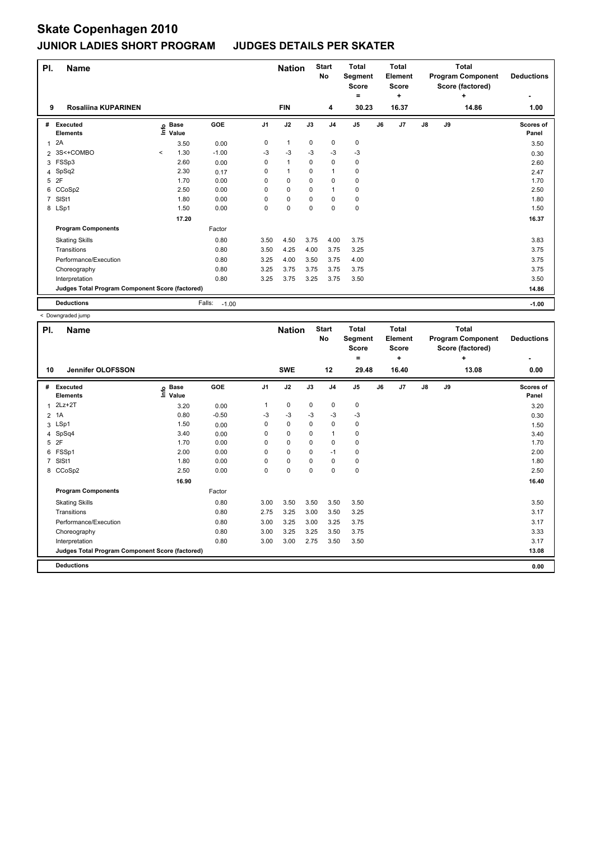| PI.            | <b>Name</b>                                     |       |                      |                   |                | <b>Nation</b> |          | <b>Start</b><br>No | <b>Total</b><br>Segment<br><b>Score</b> |    | <b>Total</b><br>Element<br><b>Score</b> |               |    | <b>Total</b><br><b>Program Component</b><br>Score (factored) | <b>Deductions</b>         |
|----------------|-------------------------------------------------|-------|----------------------|-------------------|----------------|---------------|----------|--------------------|-----------------------------------------|----|-----------------------------------------|---------------|----|--------------------------------------------------------------|---------------------------|
|                |                                                 |       |                      |                   |                |               |          |                    | =                                       |    | ٠                                       |               |    | ÷                                                            |                           |
| 9              | <b>Rosaliina KUPARINEN</b>                      |       |                      |                   |                | <b>FIN</b>    |          | 4                  | 30.23                                   |    | 16.37                                   |               |    | 14.86                                                        | 1.00                      |
| #              | <b>Executed</b><br><b>Elements</b>              | lnfo  | <b>Base</b><br>Value | <b>GOE</b>        | J <sub>1</sub> | J2            | J3       | J <sub>4</sub>     | J <sub>5</sub>                          | J6 | J7                                      | $\mathsf{J}8$ | J9 |                                                              | <b>Scores of</b><br>Panel |
| 1              | 2A                                              |       | 3.50                 | 0.00              | 0              | $\mathbf{1}$  | 0        | 0                  | 0                                       |    |                                         |               |    |                                                              | 3.50                      |
|                | 2 3S<+COMBO                                     | $\,<$ | 1.30                 | $-1.00$           | $-3$           | $-3$          | $-3$     | $-3$               | $-3$                                    |    |                                         |               |    |                                                              | 0.30                      |
|                | 3 FSSp3                                         |       | 2.60                 | 0.00              | 0              | $\mathbf{1}$  | $\Omega$ | $\mathbf 0$        | 0                                       |    |                                         |               |    |                                                              | 2.60                      |
|                | 4 SpSq2                                         |       | 2.30                 | 0.17              | 0              | $\mathbf{1}$  | $\Omega$ | $\mathbf{1}$       | $\mathbf 0$                             |    |                                         |               |    |                                                              | 2.47                      |
| 5              | 2F                                              |       | 1.70                 | 0.00              | 0              | $\mathbf 0$   | 0        | $\mathbf 0$        | 0                                       |    |                                         |               |    |                                                              | 1.70                      |
|                | 6 CCoSp2                                        |       | 2.50                 | 0.00              | $\Omega$       | $\mathbf 0$   | 0        | $\mathbf 1$        | 0                                       |    |                                         |               |    |                                                              | 2.50                      |
| $\overline{7}$ | SIS <sub>t1</sub>                               |       | 1.80                 | 0.00              | $\Omega$       | $\mathbf 0$   | 0        | $\mathbf 0$        | $\mathbf 0$                             |    |                                         |               |    |                                                              | 1.80                      |
|                | 8 LSp1                                          |       | 1.50                 | 0.00              | 0              | $\mathbf 0$   | 0        | $\mathbf 0$        | $\pmb{0}$                               |    |                                         |               |    |                                                              | 1.50                      |
|                |                                                 |       | 17.20                |                   |                |               |          |                    |                                         |    |                                         |               |    |                                                              | 16.37                     |
|                | <b>Program Components</b>                       |       |                      | Factor            |                |               |          |                    |                                         |    |                                         |               |    |                                                              |                           |
|                | <b>Skating Skills</b>                           |       |                      | 0.80              | 3.50           | 4.50          | 3.75     | 4.00               | 3.75                                    |    |                                         |               |    |                                                              | 3.83                      |
|                | Transitions                                     |       |                      | 0.80              | 3.50           | 4.25          | 4.00     | 3.75               | 3.25                                    |    |                                         |               |    |                                                              | 3.75                      |
|                | Performance/Execution                           |       |                      | 0.80              | 3.25           | 4.00          | 3.50     | 3.75               | 4.00                                    |    |                                         |               |    |                                                              | 3.75                      |
|                | Choreography                                    |       |                      | 0.80              | 3.25           | 3.75          | 3.75     | 3.75               | 3.75                                    |    |                                         |               |    |                                                              | 3.75                      |
|                | Interpretation                                  |       |                      | 0.80              | 3.25           | 3.75          | 3.25     | 3.75               | 3.50                                    |    |                                         |               |    |                                                              | 3.50                      |
|                | Judges Total Program Component Score (factored) |       |                      |                   |                |               |          |                    |                                         |    |                                         |               |    |                                                              | 14.86                     |
|                | <b>Deductions</b>                               |       |                      | Falls:<br>$-1.00$ |                |               |          |                    |                                         |    |                                         |               |    |                                                              | $-1.00$                   |

| PI. | <b>Name</b>                                     |                              |         |                | <b>Nation</b> |      | <b>Start</b><br>No | <b>Total</b><br>Segment<br><b>Score</b> |    | <b>Total</b><br>Element<br><b>Score</b> |               |    | <b>Total</b><br><b>Program Component</b><br>Score (factored) | <b>Deductions</b>         |
|-----|-------------------------------------------------|------------------------------|---------|----------------|---------------|------|--------------------|-----------------------------------------|----|-----------------------------------------|---------------|----|--------------------------------------------------------------|---------------------------|
|     |                                                 |                              |         |                |               |      |                    | $=$                                     |    | ÷                                       |               |    | ÷                                                            | ٠                         |
| 10  | Jennifer OLOFSSON                               |                              |         |                | <b>SWE</b>    |      | 12                 | 29.48                                   |    | 16.40                                   |               |    | 13.08                                                        | 0.00                      |
| #   | Executed<br><b>Elements</b>                     | <b>Base</b><br>١nf٥<br>Value | GOE     | J <sub>1</sub> | J2            | J3   | J <sub>4</sub>     | J <sub>5</sub>                          | J6 | J <sub>7</sub>                          | $\mathsf{J}8$ | J9 |                                                              | <b>Scores of</b><br>Panel |
| 1   | $2Lz+2T$                                        | 3.20                         | 0.00    |                | 0             | 0    | 0                  | 0                                       |    |                                         |               |    |                                                              | 3.20                      |
|     | $2$ 1A                                          | 0.80                         | $-0.50$ | $-3$           | $-3$          | $-3$ | $-3$               | $-3$                                    |    |                                         |               |    |                                                              | 0.30                      |
|     | 3 LSp1                                          | 1.50                         | 0.00    | 0              | 0             | 0    | 0                  | 0                                       |    |                                         |               |    |                                                              | 1.50                      |
|     | 4 SpSq4                                         | 3.40                         | 0.00    | 0              | 0             | 0    | 1                  | 0                                       |    |                                         |               |    |                                                              | 3.40                      |
|     | 5 2F                                            | 1.70                         | 0.00    | $\Omega$       | 0             | 0    | 0                  | 0                                       |    |                                         |               |    |                                                              | 1.70                      |
| 6   | FSSp1                                           | 2.00                         | 0.00    | 0              | 0             | 0    | $-1$               | 0                                       |    |                                         |               |    |                                                              | 2.00                      |
|     | 7 SISt1                                         | 1.80                         | 0.00    | $\Omega$       | 0             | 0    | $\mathbf 0$        | 0                                       |    |                                         |               |    |                                                              | 1.80                      |
|     | 8 CCoSp2                                        | 2.50                         | 0.00    | 0              | 0             | 0    | 0                  | 0                                       |    |                                         |               |    |                                                              | 2.50                      |
|     |                                                 | 16.90                        |         |                |               |      |                    |                                         |    |                                         |               |    |                                                              | 16.40                     |
|     | <b>Program Components</b>                       |                              | Factor  |                |               |      |                    |                                         |    |                                         |               |    |                                                              |                           |
|     | <b>Skating Skills</b>                           |                              | 0.80    | 3.00           | 3.50          | 3.50 | 3.50               | 3.50                                    |    |                                         |               |    |                                                              | 3.50                      |
|     | Transitions                                     |                              | 0.80    | 2.75           | 3.25          | 3.00 | 3.50               | 3.25                                    |    |                                         |               |    |                                                              | 3.17                      |
|     | Performance/Execution                           |                              | 0.80    | 3.00           | 3.25          | 3.00 | 3.25               | 3.75                                    |    |                                         |               |    |                                                              | 3.17                      |
|     | Choreography                                    |                              | 0.80    | 3.00           | 3.25          | 3.25 | 3.50               | 3.75                                    |    |                                         |               |    |                                                              | 3.33                      |
|     | Interpretation                                  |                              | 0.80    | 3.00           | 3.00          | 2.75 | 3.50               | 3.50                                    |    |                                         |               |    |                                                              | 3.17                      |
|     | Judges Total Program Component Score (factored) |                              |         |                |               |      |                    |                                         |    |                                         |               |    |                                                              | 13.08                     |
|     | <b>Deductions</b>                               |                              |         |                |               |      |                    |                                         |    |                                         |               |    |                                                              | 0.00                      |
|     |                                                 |                              |         |                |               |      |                    |                                         |    |                                         |               |    |                                                              |                           |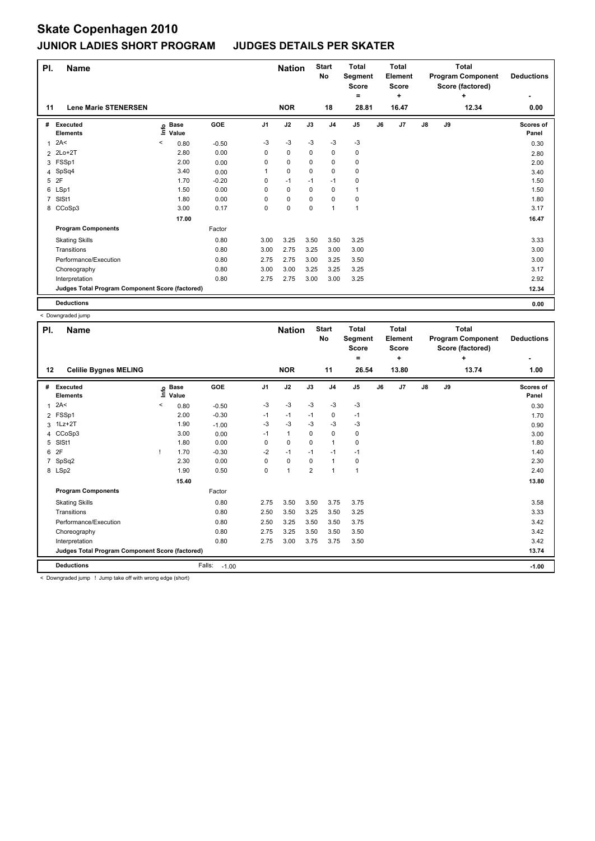| PI.            | <b>Name</b>                                     |       |                            |            |                | <b>Nation</b> |      | <b>Start</b><br>No | <b>Total</b><br>Segment<br>Score |    | <b>Total</b><br>Element<br><b>Score</b> | <b>Total</b><br><b>Program Component</b><br>Score (factored)<br>÷ |    |       | <b>Deductions</b>         |
|----------------|-------------------------------------------------|-------|----------------------------|------------|----------------|---------------|------|--------------------|----------------------------------|----|-----------------------------------------|-------------------------------------------------------------------|----|-------|---------------------------|
| 11             | <b>Lene Marie STENERSEN</b>                     |       |                            |            |                | <b>NOR</b>    |      | 18                 | ۰<br>28.81                       |    | ÷<br>16.47                              |                                                                   |    | 12.34 | 0.00                      |
| #              | <b>Executed</b><br><b>Elements</b>              |       | e Base<br>⊑ Value<br>Value | <b>GOE</b> | J <sub>1</sub> | J2            | J3   | J <sub>4</sub>     | J <sub>5</sub>                   | J6 | J7                                      | $\mathsf{J}8$                                                     | J9 |       | <b>Scores of</b><br>Panel |
| 1              | 2A<                                             | $\,<$ | 0.80                       | $-0.50$    | $-3$           | $-3$          | $-3$ | $-3$               | $-3$                             |    |                                         |                                                                   |    |       | 0.30                      |
| $\overline{2}$ | $2Lo+2T$                                        |       | 2.80                       | 0.00       | 0              | $\pmb{0}$     | 0    | $\pmb{0}$          | $\pmb{0}$                        |    |                                         |                                                                   |    |       | 2.80                      |
|                | 3 FSSp1                                         |       | 2.00                       | 0.00       | 0              | $\mathbf 0$   | 0    | $\mathbf 0$        | 0                                |    |                                         |                                                                   |    |       | 2.00                      |
| 4              | SpSq4                                           |       | 3.40                       | 0.00       |                | $\mathbf 0$   | 0    | 0                  | $\pmb{0}$                        |    |                                         |                                                                   |    |       | 3.40                      |
| 5              | 2F                                              |       | 1.70                       | $-0.20$    | 0              | $-1$          | $-1$ | $-1$               | 0                                |    |                                         |                                                                   |    |       | 1.50                      |
|                | 6 LSp1                                          |       | 1.50                       | 0.00       | 0              | $\mathbf 0$   | 0    | $\mathbf 0$        | $\mathbf{1}$                     |    |                                         |                                                                   |    |       | 1.50                      |
| $\overline{7}$ | SISt1                                           |       | 1.80                       | 0.00       | 0              | $\mathbf 0$   | 0    | $\mathbf 0$        | 0                                |    |                                         |                                                                   |    |       | 1.80                      |
|                | 8 CCoSp3                                        |       | 3.00                       | 0.17       | 0              | $\mathbf 0$   | 0    | $\mathbf{1}$       | $\mathbf{1}$                     |    |                                         |                                                                   |    |       | 3.17                      |
|                |                                                 |       | 17.00                      |            |                |               |      |                    |                                  |    |                                         |                                                                   |    |       | 16.47                     |
|                | <b>Program Components</b>                       |       |                            | Factor     |                |               |      |                    |                                  |    |                                         |                                                                   |    |       |                           |
|                | <b>Skating Skills</b>                           |       |                            | 0.80       | 3.00           | 3.25          | 3.50 | 3.50               | 3.25                             |    |                                         |                                                                   |    |       | 3.33                      |
|                | Transitions                                     |       |                            | 0.80       | 3.00           | 2.75          | 3.25 | 3.00               | 3.00                             |    |                                         |                                                                   |    |       | 3.00                      |
|                | Performance/Execution                           |       |                            | 0.80       | 2.75           | 2.75          | 3.00 | 3.25               | 3.50                             |    |                                         |                                                                   |    |       | 3.00                      |
|                | Choreography                                    |       |                            | 0.80       | 3.00           | 3.00          | 3.25 | 3.25               | 3.25                             |    |                                         |                                                                   |    |       | 3.17                      |
|                | Interpretation                                  |       |                            | 0.80       | 2.75           | 2.75          | 3.00 | 3.00               | 3.25                             |    |                                         |                                                                   |    |       | 2.92                      |
|                | Judges Total Program Component Score (factored) |       |                            |            |                |               |      |                    |                                  |    |                                         |                                                                   |    |       | 12.34                     |
|                | <b>Deductions</b>                               |       |                            |            |                |               |      |                    |                                  |    |                                         |                                                                   |    |       | 0.00                      |

**Name Deductions - Nation Total Pl. Start Segment Score = Total Element Score + Total Program Component Score (factored) + No # Executed Elements Base Value GOE J1 J2 J3 J4 J5 J6 J7 J8 J9 Scores of Panel** <sup>1</sup> 2A< < 0.80 -0.50 -3 -3 -3 -3 -3 0.30 **Info 12 Celilie Bygnes MELING NOR 11 26.54 13.80 13.74 1.00** 2 FSSp1 2.00 -0.30 -1 -1 -1 0 -1 1.70 3 1Lz+2T 1.90 -1.00 -3 -3 -3 -3 -3 0.90 4 CCoSp3 3.00 0.00 -1 1 0 0 0 3.00 5 SlSt1 1.80 0.00 0 0 0 1 0 1.80 6 2F ! 1.70 -0.30 -2 -1 -1 -1 -1 1.40 7 SpSq2 2.30 0.00 0 0 0 1 0 2.30 8 LSp2 1.90 0.50 0 1 2 1 1 2.40  **15.40 13.80 13.80 Program Components**  Skating Skills 2.75 3.50 3.50 3.75 3.75 0.80 3.58 Factor Transitions 0.80 2.50 3.50 3.25 3.50 3.25 3.33 Performance/Execution 0.80 2.50 3.25 3.50 3.50 3.75 3.42 Choreography 0.80 2.75 3.25 3.50 3.50 3.50 3.42 Interpretation 6.80 0.80 2.75 3.00 3.75 3.75 3.50 3.75 3.50 3.42 **Deductions** Falls: -1.00 **-1.00 Judges Total Program Component Score (factored) 13.74**

< Downgraded jump ! Jump take off with wrong edge (short)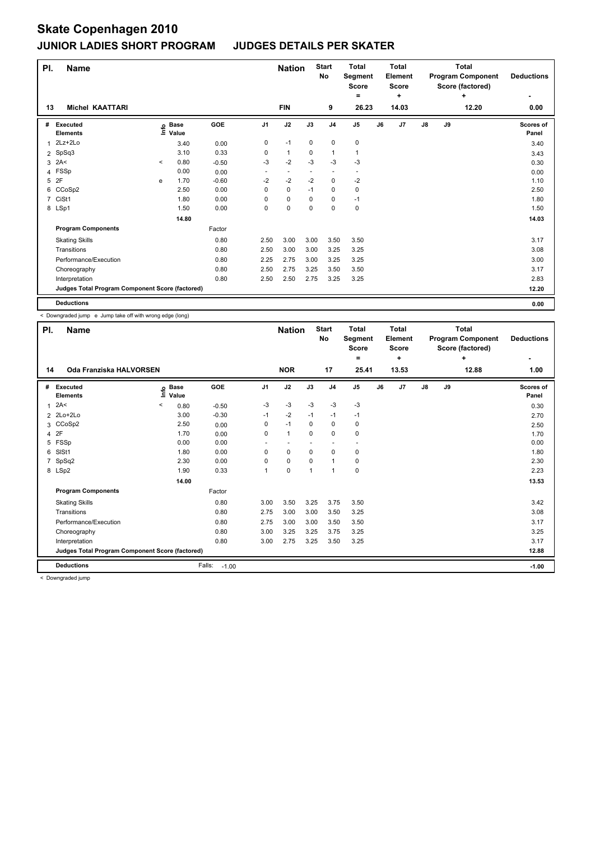| PI.            | <b>Name</b>                                     |         |                            |         |                | <b>Nation</b>            |             | <b>Start</b><br><b>No</b> | <b>Total</b><br>Segment<br><b>Score</b> |    | <b>Total</b><br>Element<br><b>Score</b> | <b>Total</b><br><b>Program Component</b><br>Score (factored)<br>÷ |    |       | <b>Deductions</b>  |
|----------------|-------------------------------------------------|---------|----------------------------|---------|----------------|--------------------------|-------------|---------------------------|-----------------------------------------|----|-----------------------------------------|-------------------------------------------------------------------|----|-------|--------------------|
|                |                                                 |         |                            |         |                |                          |             |                           | =                                       |    | ÷                                       |                                                                   |    |       |                    |
| 13             | <b>Michel KAATTARI</b>                          |         |                            |         |                | <b>FIN</b>               |             | 9                         | 26.23                                   |    | 14.03                                   |                                                                   |    | 12.20 | 0.00               |
| #              | <b>Executed</b><br><b>Elements</b>              |         | e Base<br>⊆ Value<br>Value | GOE     | J <sub>1</sub> | J2                       | J3          | J <sub>4</sub>            | J <sub>5</sub>                          | J6 | J7                                      | J8                                                                | J9 |       | Scores of<br>Panel |
| 1              | 2Lz+2Lo                                         |         | 3.40                       | 0.00    | 0              | $-1$                     | $\mathbf 0$ | $\pmb{0}$                 | $\pmb{0}$                               |    |                                         |                                                                   |    |       | 3.40               |
| 2              | SpSq3                                           |         | 3.10                       | 0.33    | 0              | $\mathbf{1}$             | 0           | $\mathbf{1}$              | $\mathbf{1}$                            |    |                                         |                                                                   |    |       | 3.43               |
|                | $3$ 2A<                                         | $\prec$ | 0.80                       | $-0.50$ | $-3$           | $-2$                     | $-3$        | $-3$                      | $-3$                                    |    |                                         |                                                                   |    |       | 0.30               |
| 4              | FSSp                                            |         | 0.00                       | 0.00    | ٠              | $\overline{\phantom{a}}$ |             | ٠                         | -                                       |    |                                         |                                                                   |    |       | 0.00               |
| 5              | 2F                                              | e       | 1.70                       | $-0.60$ | $-2$           | $-2$                     | $-2$        | $\mathbf 0$               | $-2$                                    |    |                                         |                                                                   |    |       | 1.10               |
|                | 6 CCoSp2                                        |         | 2.50                       | 0.00    | 0              | $\mathbf 0$              | $-1$        | 0                         | $\pmb{0}$                               |    |                                         |                                                                   |    |       | 2.50               |
| $\overline{7}$ | CiSt1                                           |         | 1.80                       | 0.00    | 0              | $\mathbf 0$              | 0           | 0                         | $-1$                                    |    |                                         |                                                                   |    |       | 1.80               |
|                | 8 LSp1                                          |         | 1.50                       | 0.00    | 0              | $\mathbf 0$              | $\mathbf 0$ | $\mathbf 0$               | $\pmb{0}$                               |    |                                         |                                                                   |    |       | 1.50               |
|                |                                                 |         | 14.80                      |         |                |                          |             |                           |                                         |    |                                         |                                                                   |    |       | 14.03              |
|                | <b>Program Components</b>                       |         |                            | Factor  |                |                          |             |                           |                                         |    |                                         |                                                                   |    |       |                    |
|                | <b>Skating Skills</b>                           |         |                            | 0.80    | 2.50           | 3.00                     | 3.00        | 3.50                      | 3.50                                    |    |                                         |                                                                   |    |       | 3.17               |
|                | Transitions                                     |         |                            | 0.80    | 2.50           | 3.00                     | 3.00        | 3.25                      | 3.25                                    |    |                                         |                                                                   |    |       | 3.08               |
|                | Performance/Execution                           |         |                            | 0.80    | 2.25           | 2.75                     | 3.00        | 3.25                      | 3.25                                    |    |                                         |                                                                   |    |       | 3.00               |
|                | Choreography                                    |         |                            | 0.80    | 2.50           | 2.75                     | 3.25        | 3.50                      | 3.50                                    |    |                                         |                                                                   |    |       | 3.17               |
|                | Interpretation                                  |         |                            | 0.80    | 2.50           | 2.50                     | 2.75        | 3.25                      | 3.25                                    |    |                                         |                                                                   |    |       | 2.83               |
|                | Judges Total Program Component Score (factored) |         |                            |         |                |                          |             |                           |                                         |    |                                         |                                                                   |    |       | 12.20              |
|                | <b>Deductions</b>                               |         |                            |         |                |                          |             |                           |                                         |    |                                         |                                                                   |    |       | 0.00               |

< Downgraded jump e Jump take off with wrong edge (long)

| PI. | <b>Name</b>                                     |                              |                   |                | <b>Nation</b> |      | <b>Start</b><br>No | <b>Total</b><br><b>Segment</b><br><b>Score</b> |    | <b>Total</b><br>Element<br><b>Score</b> |    |    | <b>Total</b><br><b>Program Component</b><br>Score (factored) | <b>Deductions</b>         |
|-----|-------------------------------------------------|------------------------------|-------------------|----------------|---------------|------|--------------------|------------------------------------------------|----|-----------------------------------------|----|----|--------------------------------------------------------------|---------------------------|
| 14  | Oda Franziska HALVORSEN                         |                              |                   |                | <b>NOR</b>    |      | 17                 | $=$<br>25.41                                   |    | ÷<br>13.53                              |    |    | ÷<br>12.88                                                   | ٠<br>1.00                 |
|     |                                                 |                              |                   |                |               |      |                    |                                                |    |                                         |    |    |                                                              |                           |
|     | # Executed<br><b>Elements</b>                   | <b>Base</b><br>١nto<br>Value | GOE               | J <sub>1</sub> | J2            | J3   | J <sub>4</sub>     | J5                                             | J6 | J <sub>7</sub>                          | J8 | J9 |                                                              | <b>Scores of</b><br>Panel |
| 1   | 2A<                                             | $\,<\,$<br>0.80              | $-0.50$           | $-3$           | $-3$          | $-3$ | $-3$               | $-3$                                           |    |                                         |    |    |                                                              | 0.30                      |
|     | 2 2Lo+2Lo                                       | 3.00                         | $-0.30$           | $-1$           | $-2$          | $-1$ | $-1$               | $-1$                                           |    |                                         |    |    |                                                              | 2.70                      |
|     | 3 CCoSp2                                        | 2.50                         | 0.00              | 0              | $-1$          | 0    | $\mathbf 0$        | 0                                              |    |                                         |    |    |                                                              | 2.50                      |
|     | 4 2F                                            | 1.70                         | 0.00              | 0              | $\mathbf{1}$  | 0    | $\mathbf 0$        | 0                                              |    |                                         |    |    |                                                              | 1.70                      |
|     | 5 FSSp                                          | 0.00                         | 0.00              |                |               |      | $\blacksquare$     | $\overline{\phantom{a}}$                       |    |                                         |    |    |                                                              | 0.00                      |
| 6   | SISt1                                           | 1.80                         | 0.00              | 0              | 0             | 0    | 0                  | 0                                              |    |                                         |    |    |                                                              | 1.80                      |
|     | 7 SpSq2                                         | 2.30                         | 0.00              | 0              | 0             | 0    | 1                  | 0                                              |    |                                         |    |    |                                                              | 2.30                      |
|     | 8 LSp2                                          | 1.90                         | 0.33              | 1              | 0             | 1    | 1                  | 0                                              |    |                                         |    |    |                                                              | 2.23                      |
|     |                                                 | 14.00                        |                   |                |               |      |                    |                                                |    |                                         |    |    |                                                              | 13.53                     |
|     | <b>Program Components</b>                       |                              | Factor            |                |               |      |                    |                                                |    |                                         |    |    |                                                              |                           |
|     | <b>Skating Skills</b>                           |                              | 0.80              | 3.00           | 3.50          | 3.25 | 3.75               | 3.50                                           |    |                                         |    |    |                                                              | 3.42                      |
|     | Transitions                                     |                              | 0.80              | 2.75           | 3.00          | 3.00 | 3.50               | 3.25                                           |    |                                         |    |    |                                                              | 3.08                      |
|     | Performance/Execution                           |                              | 0.80              | 2.75           | 3.00          | 3.00 | 3.50               | 3.50                                           |    |                                         |    |    |                                                              | 3.17                      |
|     | Choreography                                    |                              | 0.80              | 3.00           | 3.25          | 3.25 | 3.75               | 3.25                                           |    |                                         |    |    |                                                              | 3.25                      |
|     | Interpretation                                  |                              | 0.80              | 3.00           | 2.75          | 3.25 | 3.50               | 3.25                                           |    |                                         |    |    |                                                              | 3.17                      |
|     | Judges Total Program Component Score (factored) |                              |                   |                |               |      |                    |                                                |    |                                         |    |    |                                                              | 12.88                     |
|     | <b>Deductions</b>                               |                              | Falls:<br>$-1.00$ |                |               |      |                    |                                                |    |                                         |    |    |                                                              | $-1.00$                   |
|     | Doumanaded inner                                |                              |                   |                |               |      |                    |                                                |    |                                         |    |    |                                                              |                           |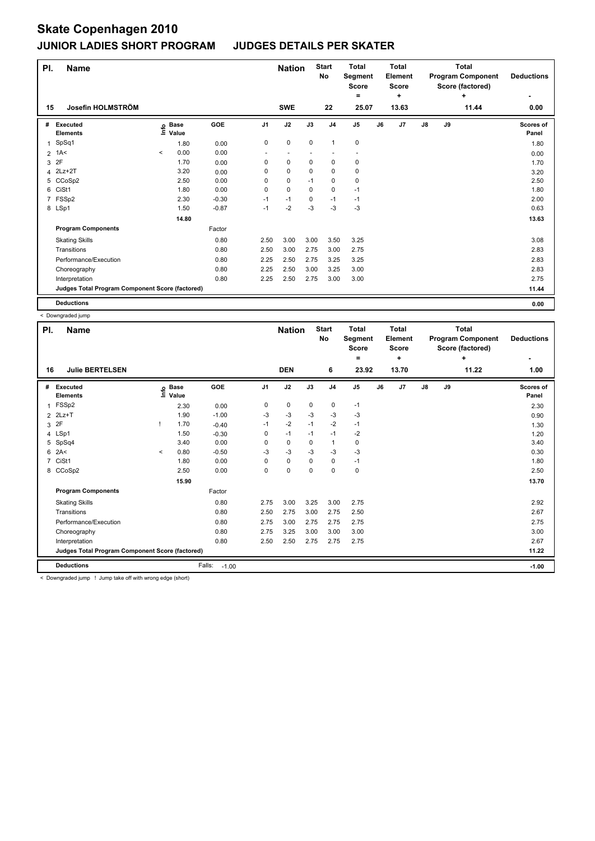| PI.            | <b>Name</b>                                     |         |                      |         |                | <b>Nation</b> |             | <b>Start</b><br>No | <b>Total</b><br>Segment<br><b>Score</b> |    | <b>Total</b><br>Element<br><b>Score</b> |    |    | <b>Total</b><br><b>Program Component</b><br>Score (factored) | <b>Deductions</b>  |
|----------------|-------------------------------------------------|---------|----------------------|---------|----------------|---------------|-------------|--------------------|-----------------------------------------|----|-----------------------------------------|----|----|--------------------------------------------------------------|--------------------|
|                |                                                 |         |                      |         |                |               |             |                    | ۰                                       |    | ÷                                       |    |    | ÷                                                            | ٠                  |
| 15             | Josefin HOLMSTRÖM                               |         |                      |         |                | <b>SWE</b>    |             | 22                 | 25.07                                   |    | 13.63                                   |    |    | 11.44                                                        | 0.00               |
| #              | Executed<br><b>Elements</b>                     | Info    | <b>Base</b><br>Value | GOE     | J <sub>1</sub> | J2            | J3          | J <sub>4</sub>     | J <sub>5</sub>                          | J6 | J7                                      | J8 | J9 |                                                              | Scores of<br>Panel |
| 1              | SpSq1                                           |         | 1.80                 | 0.00    | 0              | 0             | $\pmb{0}$   | $\overline{1}$     | $\pmb{0}$                               |    |                                         |    |    |                                                              | 1.80               |
| $\overline{2}$ | 1A<                                             | $\,<\,$ | 0.00                 | 0.00    |                |               |             |                    |                                         |    |                                         |    |    |                                                              | 0.00               |
| 3              | 2F                                              |         | 1.70                 | 0.00    | 0              | $\mathbf 0$   | $\mathbf 0$ | $\pmb{0}$          | $\pmb{0}$                               |    |                                         |    |    |                                                              | 1.70               |
| 4              | $2Lz+2T$                                        |         | 3.20                 | 0.00    | 0              | $\mathbf 0$   | 0           | 0                  | 0                                       |    |                                         |    |    |                                                              | 3.20               |
| 5              | CCoSp2                                          |         | 2.50                 | 0.00    | 0              | $\mathbf 0$   | $-1$        | $\pmb{0}$          | $\pmb{0}$                               |    |                                         |    |    |                                                              | 2.50               |
| 6              | CiSt1                                           |         | 1.80                 | 0.00    | 0              | $\mathbf 0$   | 0           | $\mathbf 0$        | $-1$                                    |    |                                         |    |    |                                                              | 1.80               |
| $\overline{7}$ | FSSp2                                           |         | 2.30                 | $-0.30$ | $-1$           | $-1$          | 0           | $-1$               | $-1$                                    |    |                                         |    |    |                                                              | 2.00               |
|                | 8 LSp1                                          |         | 1.50                 | $-0.87$ | $-1$           | $-2$          | $-3$        | $-3$               | $-3$                                    |    |                                         |    |    |                                                              | 0.63               |
|                |                                                 |         | 14.80                |         |                |               |             |                    |                                         |    |                                         |    |    |                                                              | 13.63              |
|                | <b>Program Components</b>                       |         |                      | Factor  |                |               |             |                    |                                         |    |                                         |    |    |                                                              |                    |
|                | <b>Skating Skills</b>                           |         |                      | 0.80    | 2.50           | 3.00          | 3.00        | 3.50               | 3.25                                    |    |                                         |    |    |                                                              | 3.08               |
|                | Transitions                                     |         |                      | 0.80    | 2.50           | 3.00          | 2.75        | 3.00               | 2.75                                    |    |                                         |    |    |                                                              | 2.83               |
|                | Performance/Execution                           |         |                      | 0.80    | 2.25           | 2.50          | 2.75        | 3.25               | 3.25                                    |    |                                         |    |    |                                                              | 2.83               |
|                | Choreography                                    |         |                      | 0.80    | 2.25           | 2.50          | 3.00        | 3.25               | 3.00                                    |    |                                         |    |    |                                                              | 2.83               |
|                | Interpretation                                  |         |                      | 0.80    | 2.25           | 2.50          | 2.75        | 3.00               | 3.00                                    |    |                                         |    |    |                                                              | 2.75               |
|                | Judges Total Program Component Score (factored) |         |                      |         |                |               |             |                    |                                         |    |                                         |    |    |                                                              | 11.44              |
|                | <b>Deductions</b>                               |         |                      |         |                |               |             |                    |                                         |    |                                         |    |    |                                                              | 0.00               |

 < Downgraded jump **Name Deductions Nation Total Pl. Start Segment Score = Total Element Score + Total Program Component Score (factored) + No # Executed Elements Base Value GOE J1 J2 J3 J4 J5 J6 J7 J8 J9 Scores of**  <sup>1</sup> FSSp2 2.30 0.00 <sup>0</sup> <sup>0</sup> <sup>0</sup> <sup>0</sup> -1 2.30 **Info 16 Julie BERTELSEN DEN 6 23.92 13.70 11.22 1.00** 2 2Lz+T 1.90 -1.00 -3 -3 -3 -3 -3 0.90  $3$   $2$   $5$   $1$   $30$   $1.70$   $-0.40$   $-1$   $-2$   $-1$   $-2$   $-1$ 4 LSp1 1.50 <sub>0.30</sub> 0 -1 -1 -2 1.20 5 SpSq4 3.40 0.00 0 0 0 1 0 3.40 6 2A< < 0.80 -0.50 -3 -3 -3 -3 -3 0.30 7 CiSt1 1.80 0.00 0 0 0 0 -1 1.80 8 CCoSp2 2.50 0.00 0 0 0 0 0 2.50  **15.90** 13.70 **Program Components**  Skating Skills **2.75** 3.00 3.25 3.00 2.75 Factor 0.80 2.75 3.00 3.25 3.00 2.75 2.92 Transitions 0.80 2.50 2.75 3.00 2.75 2.50 2.67 Performance/Execution 0.80 2.75 3.00 2.75 2.75 2.75 2.75 Choreography 0.80 2.75 3.25 3.00 3.00 3.00 3.00 Interpretation 0.80 2.50 2.50 2.75 2.75 2.75 2.67 **Deductions** Falls: -1.00 **-1.00 Judges Total Program Component Score (factored) 11.22**

**-**

**Panel**

< Downgraded jump ! Jump take off with wrong edge (short)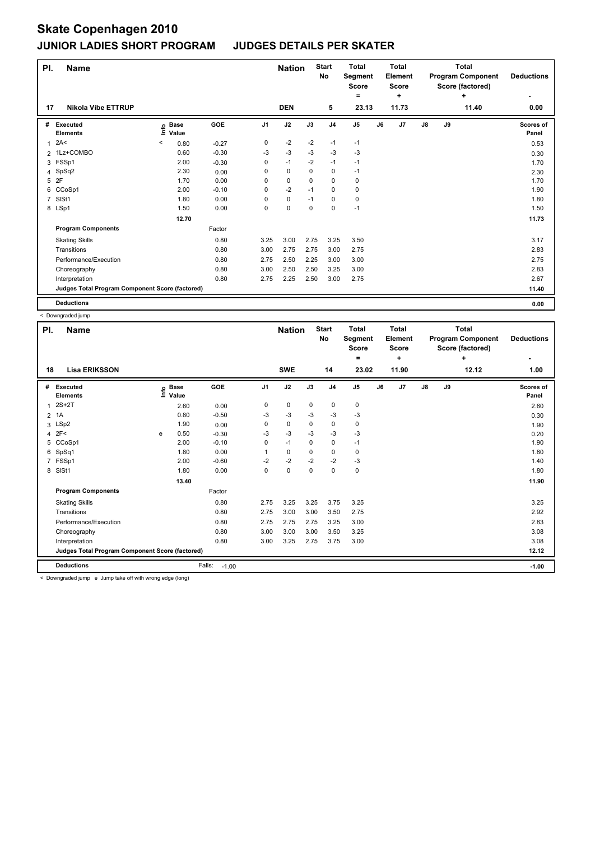| PI. | <b>Name</b>                                     |         |                            |         |                | <b>Nation</b> |             | <b>Start</b><br>No | <b>Total</b><br>Segment<br><b>Score</b> |    | <b>Total</b><br>Element<br><b>Score</b> |               |    | <b>Total</b><br><b>Program Component</b><br>Score (factored) | <b>Deductions</b>  |
|-----|-------------------------------------------------|---------|----------------------------|---------|----------------|---------------|-------------|--------------------|-----------------------------------------|----|-----------------------------------------|---------------|----|--------------------------------------------------------------|--------------------|
|     |                                                 |         |                            |         |                |               |             |                    | =                                       |    | ٠                                       |               |    | ÷                                                            |                    |
| 17  | <b>Nikola Vibe ETTRUP</b>                       |         |                            |         |                | <b>DEN</b>    |             | 5                  | 23.13                                   |    | 11.73                                   |               |    | 11.40                                                        | 0.00               |
| #   | <b>Executed</b><br><b>Elements</b>              |         | e Base<br>E Value<br>Value | GOE     | J <sub>1</sub> | J2            | J3          | J <sub>4</sub>     | J <sub>5</sub>                          | J6 | J7                                      | $\mathsf{J}8$ | J9 |                                                              | Scores of<br>Panel |
| 1   | 2A<                                             | $\prec$ | 0.80                       | $-0.27$ | 0              | $-2$          | $-2$        | $-1$               | $-1$                                    |    |                                         |               |    |                                                              | 0.53               |
|     | 2 1Lz+COMBO                                     |         | 0.60                       | $-0.30$ | $-3$           | $-3$          | $-3$        | $-3$               | $-3$                                    |    |                                         |               |    |                                                              | 0.30               |
|     | 3 FSSp1                                         |         | 2.00                       | $-0.30$ | 0              | $-1$          | $-2$        | $-1$               | $-1$                                    |    |                                         |               |    |                                                              | 1.70               |
|     | 4 SpSq2                                         |         | 2.30                       | 0.00    | 0              | $\mathbf 0$   | $\Omega$    | $\pmb{0}$          | $-1$                                    |    |                                         |               |    |                                                              | 2.30               |
| 5   | 2F                                              |         | 1.70                       | 0.00    | 0              | $\pmb{0}$     | 0           | $\mathbf 0$        | 0                                       |    |                                         |               |    |                                                              | 1.70               |
| 6   | CCoSp1                                          |         | 2.00                       | $-0.10$ | 0              | $-2$          | $-1$        | $\mathbf 0$        | 0                                       |    |                                         |               |    |                                                              | 1.90               |
| 7   | SISt1                                           |         | 1.80                       | 0.00    | 0              | $\pmb{0}$     | $-1$        | 0                  | 0                                       |    |                                         |               |    |                                                              | 1.80               |
|     | 8 LSp1                                          |         | 1.50                       | 0.00    | 0              | $\mathbf 0$   | $\mathbf 0$ | $\mathbf 0$        | $-1$                                    |    |                                         |               |    |                                                              | 1.50               |
|     |                                                 |         | 12.70                      |         |                |               |             |                    |                                         |    |                                         |               |    |                                                              | 11.73              |
|     | <b>Program Components</b>                       |         |                            | Factor  |                |               |             |                    |                                         |    |                                         |               |    |                                                              |                    |
|     | <b>Skating Skills</b>                           |         |                            | 0.80    | 3.25           | 3.00          | 2.75        | 3.25               | 3.50                                    |    |                                         |               |    |                                                              | 3.17               |
|     | Transitions                                     |         |                            | 0.80    | 3.00           | 2.75          | 2.75        | 3.00               | 2.75                                    |    |                                         |               |    |                                                              | 2.83               |
|     | Performance/Execution                           |         |                            | 0.80    | 2.75           | 2.50          | 2.25        | 3.00               | 3.00                                    |    |                                         |               |    |                                                              | 2.75               |
|     | Choreography                                    |         |                            | 0.80    | 3.00           | 2.50          | 2.50        | 3.25               | 3.00                                    |    |                                         |               |    |                                                              | 2.83               |
|     | Interpretation                                  |         |                            | 0.80    | 2.75           | 2.25          | 2.50        | 3.00               | 2.75                                    |    |                                         |               |    |                                                              | 2.67               |
|     | Judges Total Program Component Score (factored) |         |                            |         |                |               |             |                    |                                         |    |                                         |               |    |                                                              | 11.40              |
|     | <b>Deductions</b>                               |         |                            |         |                |               |             |                    |                                         |    |                                         |               |    |                                                              | 0.00               |

< Downgraded jump

| PI. | <b>Name</b>                                     |   |                      | <b>Nation</b>     |                | <b>Start</b><br>No | <b>Total</b><br><b>Segment</b><br><b>Score</b><br>۰ |                | Total<br>Element<br><b>Score</b><br>÷ |    | Total<br><b>Program Component</b><br>Score (factored) | <b>Deductions</b> |    |            |                    |
|-----|-------------------------------------------------|---|----------------------|-------------------|----------------|--------------------|-----------------------------------------------------|----------------|---------------------------------------|----|-------------------------------------------------------|-------------------|----|------------|--------------------|
| 18  | <b>Lisa ERIKSSON</b>                            |   |                      |                   |                | <b>SWE</b>         |                                                     | 14             | 23.02                                 |    | 11.90                                                 |                   |    | ÷<br>12.12 | 1.00               |
| #   | Executed<br><b>Elements</b>                     |   | <b>Base</b><br>Value | GOE               | J <sub>1</sub> | J2                 | J3                                                  | J <sub>4</sub> | $\mathsf{J}5$                         | J6 | J <sub>7</sub>                                        | J8                | J9 |            | Scores of<br>Panel |
| 1   | $2S+2T$                                         |   | 2.60                 | 0.00              | 0              | 0                  | 0                                                   | 0              | 0                                     |    |                                                       |                   |    |            | 2.60               |
|     | $2$ 1A                                          |   | 0.80                 | $-0.50$           | -3             | $-3$               | $-3$                                                | $-3$           | $-3$                                  |    |                                                       |                   |    |            | 0.30               |
| 3   | LSp2                                            |   | 1.90                 | 0.00              | 0              | 0                  | $\Omega$                                            | 0              | 0                                     |    |                                                       |                   |    |            | 1.90               |
|     | $4$ 2F<                                         | e | 0.50                 | $-0.30$           | $-3$           | $-3$               | $-3$                                                | $-3$           | $-3$                                  |    |                                                       |                   |    |            | 0.20               |
| 5   | CCoSp1                                          |   | 2.00                 | $-0.10$           | 0              | $-1$               | $\Omega$                                            | $\mathbf 0$    | $-1$                                  |    |                                                       |                   |    |            | 1.90               |
| 6   | SpSq1                                           |   | 1.80                 | 0.00              | 1              | 0                  | $\Omega$                                            | $\mathbf 0$    | 0                                     |    |                                                       |                   |    |            | 1.80               |
|     | 7 FSSp1                                         |   | 2.00                 | $-0.60$           | $-2$           | $-2$               | $-2$                                                | $-2$           | $-3$                                  |    |                                                       |                   |    |            | 1.40               |
| 8   | SISt1                                           |   | 1.80                 | 0.00              | 0              | 0                  | $\mathbf 0$                                         | 0              | 0                                     |    |                                                       |                   |    |            | 1.80               |
|     |                                                 |   | 13.40                |                   |                |                    |                                                     |                |                                       |    |                                                       |                   |    |            | 11.90              |
|     | <b>Program Components</b>                       |   |                      | Factor            |                |                    |                                                     |                |                                       |    |                                                       |                   |    |            |                    |
|     | <b>Skating Skills</b>                           |   |                      | 0.80              | 2.75           | 3.25               | 3.25                                                | 3.75           | 3.25                                  |    |                                                       |                   |    |            | 3.25               |
|     | Transitions                                     |   |                      | 0.80              | 2.75           | 3.00               | 3.00                                                | 3.50           | 2.75                                  |    |                                                       |                   |    |            | 2.92               |
|     | Performance/Execution                           |   |                      | 0.80              | 2.75           | 2.75               | 2.75                                                | 3.25           | 3.00                                  |    |                                                       |                   |    |            | 2.83               |
|     | Choreography                                    |   |                      | 0.80              | 3.00           | 3.00               | 3.00                                                | 3.50           | 3.25                                  |    |                                                       |                   |    |            | 3.08               |
|     | Interpretation                                  |   |                      | 0.80              | 3.00           | 3.25               | 2.75                                                | 3.75           | 3.00                                  |    |                                                       |                   |    |            | 3.08               |
|     | Judges Total Program Component Score (factored) |   |                      |                   |                |                    |                                                     |                |                                       |    |                                                       |                   |    |            | 12.12              |
|     | <b>Deductions</b>                               |   |                      | Falls:<br>$-1.00$ |                |                    |                                                     |                |                                       |    |                                                       |                   |    |            | $-1.00$            |

< Downgraded jump e Jump take off with wrong edge (long)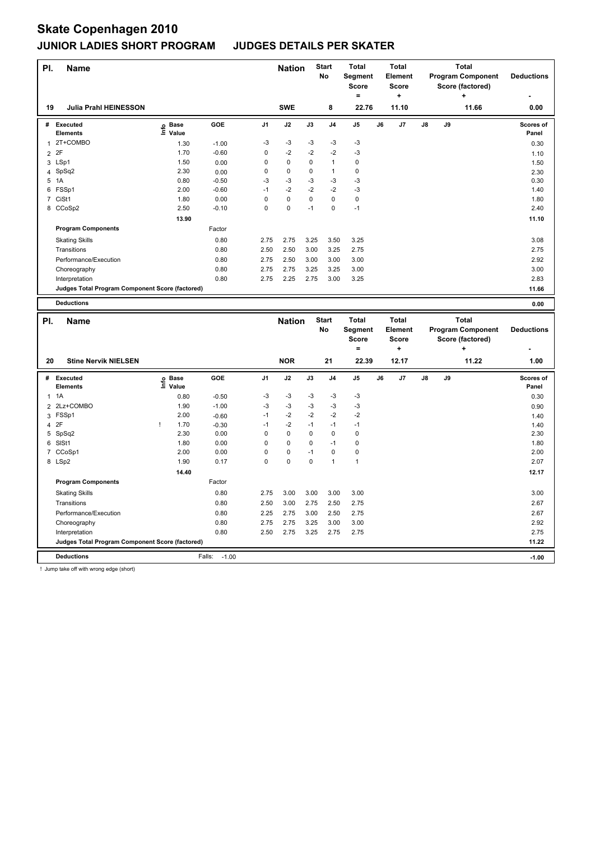| PI.            | Name                                            |                   |            |                | <b>Nation</b> |      | <b>Start</b><br>No | <b>Total</b><br>Segment<br><b>Score</b><br>$=$ |    | <b>Total</b><br>Element<br><b>Score</b><br>٠        |    |    | <b>Total</b><br><b>Program Component</b><br>Score (factored)<br>+ | <b>Deductions</b>  |
|----------------|-------------------------------------------------|-------------------|------------|----------------|---------------|------|--------------------|------------------------------------------------|----|-----------------------------------------------------|----|----|-------------------------------------------------------------------|--------------------|
| 19             | <b>Julia Prahl HEINESSON</b>                    |                   |            |                | <b>SWE</b>    |      | 8                  | 22.76                                          |    | 11.10                                               |    |    | 11.66                                                             | ٠<br>0.00          |
|                | # Executed<br><b>Elements</b>                   | e Base<br>⊆ Value | GOE        | J <sub>1</sub> | J2            | J3   | J <sub>4</sub>     | J5                                             | J6 | J7                                                  | J8 | J9 |                                                                   | Scores of<br>Panel |
|                | 1 2T+COMBO                                      | 1.30              | $-1.00$    | -3             | $-3$          | $-3$ | $-3$               | -3                                             |    |                                                     |    |    |                                                                   | 0.30               |
| $\overline{2}$ | 2F                                              | 1.70              | $-0.60$    | 0              | $-2$          | $-2$ | $-2$               | $-3$                                           |    |                                                     |    |    |                                                                   | 1.10               |
| 3              | LSp1                                            | 1.50              | 0.00       | 0              | 0             | 0    | $\mathbf{1}$       | $\pmb{0}$                                      |    |                                                     |    |    |                                                                   | 1.50               |
|                | 4 SpSq2                                         | 2.30              | 0.00       | $\mathbf 0$    | 0             | 0    | 1                  | $\mathbf 0$                                    |    |                                                     |    |    |                                                                   | 2.30               |
|                | 5 1A                                            | 0.80              | $-0.50$    | -3             | $-3$          | $-3$ | $-3$               | $-3$                                           |    |                                                     |    |    |                                                                   | 0.30               |
|                | 6 FSSp1                                         | 2.00              | $-0.60$    | $-1$           | $-2$          | $-2$ | $-2$               | $-3$                                           |    |                                                     |    |    |                                                                   | 1.40               |
|                | 7 CiSt1                                         | 1.80              | 0.00       | 0              | 0             | 0    | 0                  | $\mathbf 0$                                    |    |                                                     |    |    |                                                                   | 1.80               |
|                | 8 CCoSp2                                        | 2.50              | $-0.10$    | $\mathbf 0$    | $\mathbf 0$   | $-1$ | 0                  | $-1$                                           |    |                                                     |    |    |                                                                   | 2.40               |
|                |                                                 | 13.90             |            |                |               |      |                    |                                                |    |                                                     |    |    |                                                                   | 11.10              |
|                | <b>Program Components</b>                       |                   | Factor     |                |               |      |                    |                                                |    |                                                     |    |    |                                                                   |                    |
|                |                                                 |                   |            |                |               |      |                    |                                                |    |                                                     |    |    |                                                                   |                    |
|                | <b>Skating Skills</b>                           |                   | 0.80       | 2.75           | 2.75          | 3.25 | 3.50               | 3.25                                           |    |                                                     |    |    |                                                                   | 3.08               |
|                | Transitions                                     |                   | 0.80       | 2.50           | 2.50          | 3.00 | 3.25               | 2.75                                           |    |                                                     |    |    |                                                                   | 2.75               |
|                | Performance/Execution                           |                   | 0.80       | 2.75           | 2.50          | 3.00 | 3.00               | 3.00                                           |    |                                                     |    |    |                                                                   | 2.92               |
|                | Choreography                                    |                   | 0.80       | 2.75           | 2.75          | 3.25 | 3.25               | 3.00                                           |    |                                                     |    |    |                                                                   | 3.00               |
|                | Interpretation                                  |                   | 0.80       | 2.75           | 2.25          | 2.75 | 3.00               | 3.25                                           |    |                                                     |    |    |                                                                   | 2.83               |
|                | Judges Total Program Component Score (factored) |                   |            |                |               |      |                    |                                                |    |                                                     |    |    |                                                                   | 11.66              |
|                | <b>Deductions</b>                               |                   |            |                |               |      |                    |                                                |    |                                                     |    |    |                                                                   | 0.00               |
| PI.            | <b>Name</b>                                     |                   |            |                | <b>Nation</b> |      | <b>Start</b><br>No | <b>Total</b><br>Segment<br><b>Score</b><br>$=$ |    | <b>Total</b><br><b>Element</b><br><b>Score</b><br>÷ |    |    | <b>Total</b><br><b>Program Component</b><br>Score (factored)<br>٠ | <b>Deductions</b>  |
| 20             | <b>Stine Nervik NIELSEN</b>                     |                   |            |                | <b>NOR</b>    |      | 21                 | 22.39                                          |    | 12.17                                               |    |    | 11.22                                                             | 1.00               |
| #              | <b>Executed</b>                                 |                   | <b>GOE</b> | J <sub>1</sub> | J2            | J3   | J <sub>4</sub>     | J5                                             | J6 | J7                                                  | J8 | J9 |                                                                   | Scores of          |
|                | <b>Elements</b>                                 | e Base<br>⊆ Value |            |                |               |      |                    |                                                |    |                                                     |    |    |                                                                   | Panel              |
| $\mathbf{1}$   | 1A                                              | 0.80              | $-0.50$    | $-3$           | $-3$          | -3   | -3                 | -3                                             |    |                                                     |    |    |                                                                   | 0.30               |
|                | 2 2Lz+COMBO                                     | 1.90              | $-1.00$    | $-3$           | $-3$          | $-3$ | $-3$               | $-3$                                           |    |                                                     |    |    |                                                                   | 0.90               |
| 3              | FSSp1                                           | 2.00              | $-0.60$    | $-1$           | $-2$          | $-2$ | $-2$               | $-2$                                           |    |                                                     |    |    |                                                                   | 1.40               |
| $\overline{4}$ | 2F                                              | 1.70<br>÷         | $-0.30$    | $-1$           | $-2$          | $-1$ | $-1$               | $-1$                                           |    |                                                     |    |    |                                                                   | 1.40               |
|                | 5 SpSq2                                         | 2.30              | 0.00       | 0              | $\Omega$      | 0    | $\Omega$           | $\mathbf 0$                                    |    |                                                     |    |    |                                                                   | 2.30               |
|                | 6 SISt1                                         | 1.80              | 0.00       | $\mathsf 0$    | 0             | 0    | $-1$               | $\pmb{0}$                                      |    |                                                     |    |    |                                                                   | 1.80               |
|                | 7 CCoSp1                                        | 2.00              | 0.00       | 0              | 0             | $-1$ | 0                  | $\pmb{0}$                                      |    |                                                     |    |    |                                                                   | 2.00               |
|                | 8 LSp2                                          | 1.90              | 0.17       | $\mathbf 0$    | $\mathbf 0$   | 0    | 1                  | $\mathbf{1}$                                   |    |                                                     |    |    |                                                                   | 2.07               |
|                |                                                 | 14.40             |            |                |               |      |                    |                                                |    |                                                     |    |    |                                                                   | 12.17              |
|                | <b>Program Components</b>                       |                   | Factor     |                |               |      |                    |                                                |    |                                                     |    |    |                                                                   |                    |
|                | <b>Skating Skills</b>                           |                   | 0.80       | 2.75           | 3.00          | 3.00 | 3.00               | 3.00                                           |    |                                                     |    |    |                                                                   | 3.00               |

Transitions 0.80 2.50 3.00 2.75 2.50 2.75 2.67 Performance/Execution 0.80 2.25 2.75 3.00 2.50 2.75 2.67 2.67 2.92<br>Choreography 0.80 2.75 2.75 3.25 3.00 3.00 Choreography 0.80 2.75 2.75 3.25 3.00 3.00 2.92 Interpretation 0.80 2.50 2.75 3.25 2.75 2.75 2.75

**Judges Total Program Component Score (factored) 11.22**

**Deductions** Falls: -1.00 **-1.00**

! Jump take off with wrong edge (short)